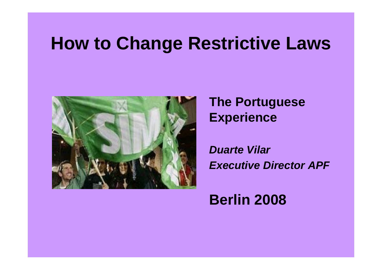#### **How to Change Restrictive Laws**



#### **The Portuguese Experience**

*Duarte VilarExecutive Director APF*

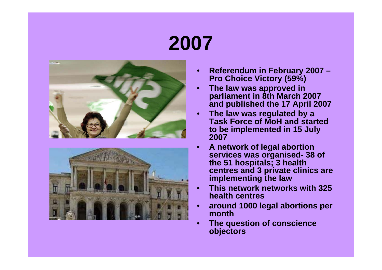## **2007**





- **Referendum in February 2007 Pro Choice Victory (59%)**
- **The law was approved in parliament in 8th March 2007 and published the 17 April 2007**
- **The law was regulated by a Task Force of MoH and started to be implemented in 15 July 2007**
- **A network of legal abortion services was organised- 38 of the 51 hospitals; 3 health centres and 3 private clinics are implementing the law**
- **This network networks with 325 health centres**
- **around 1000 legal abortions per month**
- **The question of conscience objectors**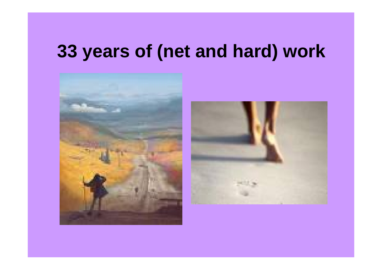#### **33 years of (net and hard) work**



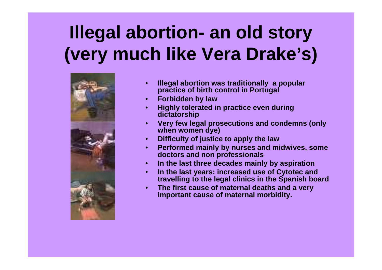## **Illegal abortion- an old story (very much like Vera Drake's)**



- **Illegal abortion was traditionally a popular practice of birth control in Portugal**
- **Forbidden by law**
- **Highly tolerated in practice even during dictatorship**
- **Very few legal prosecutions and condemns (only when women dye)**
- **Difficulty of justice to apply the law**
- **Performed mainly by nurses and midwives, some doctors and non professionals**
- **In the last three decades mainly by aspiration**
- **In the last years: increased use of Cytotec and travelling to the legal clinics in the Spanish board**
- **The first cause of maternal deaths and a very important cause of maternal morbidity.**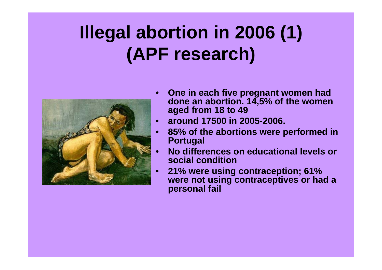## **Illegal abortion in 2006 (1) (APF research)**



- **One in each five pregnant women had done an abortion. 14,5% of the women aged from 18 to 49**
- **around 17500 in 2005-2006.**
- **85% of the abortions were performed in Portugal**
- **No differences on educational levels or social condition**
- **21% were using contraception; 61% were not using contraceptives or had a personal fail**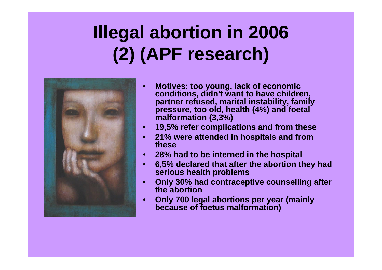## **Illegal abortion in 2006 (2) (APF research)**



- **Motives: too young, lack of economic conditions, didn't want to have children, partner refused, marital instability, family pressure, too old, health (4%) and foetal malformation (3,3%)**
- **19,5% refer complications and from these**
- **21% were attended in hospitals and from these**
- **28% had to be interned in the hospital**
- **6,5% declared that after the abortion they had serious health problems**
- **Only 30% had contraceptive counselling after the abortion**
- **Only 700 legal abortions per year (mainly because of foetus malformation)**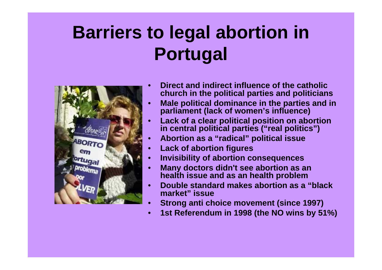## **Barriers to legal abortion in Portugal**



- **Direct and indirect influence of the catholic church in the political parties and politicians**
- **Male political dominance in the parties and in parliament (lack of women's influence)**
- **Lack of a clear political position on abortion in central political parties ("real politics")**
- **Abortion as a "radical" political issue**
- **Lack of abortion figures**
- **Invisibility of abortion consequences**
- **Many doctors didn't see abortion as an health issue and as an health problem**
- **Double standard makes abortion as a "black market" issue**
- **Strong anti choice movement (since 1997)**
- **1st Referendum in 1998 (the NO wins by 51%)**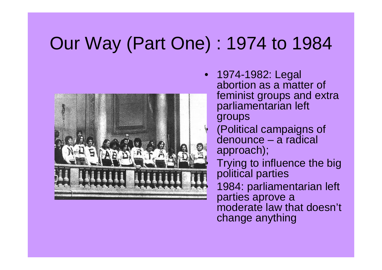## Our Way (Part One) : 1974 to 1984



• 1974-1982: Legal abortion as a matter of feminist groups and extra parliamentarian left groups • (Political campaigns of denounce – a radical approach); Trying to influence the big political parties • 1984: parliamentarian left parties aprove a moderate law that doesn't change anything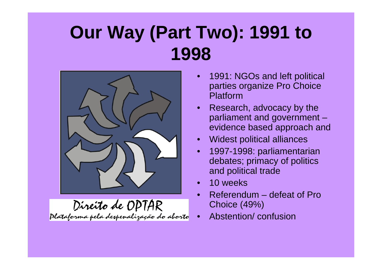### **Our Way (Part Two): 1991 to 1998**



Direito de OPTAR<br>Plataforma pela despenalização do aborto

- 1991: NGOs and left political parties organize Pro Choice Platform
- Research, advocacy by the parliament and government – evidence based approach and
- Widest political alliances
- 1997-1998: parliamentarian debates; primacy of politics and political trade
- 10 weeks
- Referendum defeat of Pro Choice (49%)
- Abstention/ confusion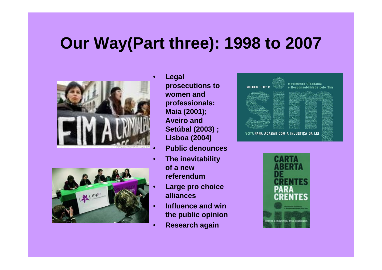#### **Our Way(Part three): 1998 to 2007**





- **Legal prosecutions to women and professionals: Maia (2001); Aveiro and Setúbal (2003) ; Lisboa (2004)**
- **Public denounces**
- **The inevitability of a new referendum**
- **Large pro choice alliances**
- **Influence and win the public opinion**
- **Research again**



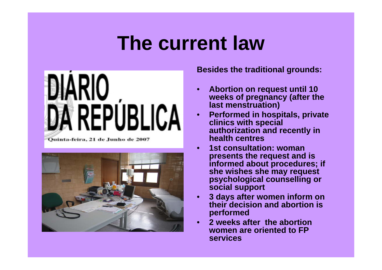## **The current law**



Ouinta-feira, 21 de Junho de 2007



**Besides the traditional grounds:**

- **Abortion on request until 10 weeks of pregnancy (after the last menstruation)**
- **Performed in hospitals, private clinics with special authorization and recently in health centres**
- **1st consultation: woman presents the request and is informed about procedures; if she wishes she may request psychological counselling or social support**
- **3 days after women inform on their decision and abortion is performed**
- **2 weeks after the abortion women are oriented to FP services**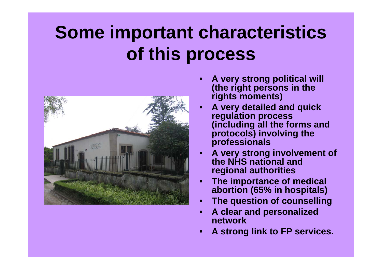## **Some important characteristics of this process**



- **A very strong political will (the right persons in the rights moments)**
- **A very detailed and quick regulation process (including all the forms and protocols) involving the professionals**
- **A very strong involvement of the NHS national and regional authorities**
- **The importance of medical abortion (65% in hospitals)**
- **The question of counselling**
- **A clear and personalized network**
- **A strong link to FP services.**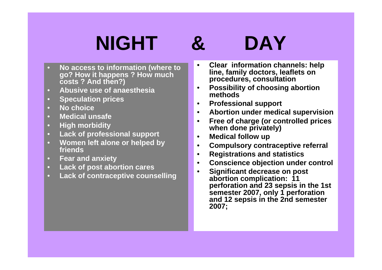# **NIGHT & DAY**

- **No access to information (where to go? How it happens ? How much costs ? And then?)**
- **Abusive use of anaesthesia**
- **Speculation prices**
- **No choice**
- **Medical unsafe**
- **High morbidity**
- **Lack of professional support**
- **Women left alone or helped by friends**
- **Fear and anxiety**
- **Lack of post abortion cares**
- **Lack of contraceptive counselling**
- **Clear information channels: help line, family doctors, leaflets on procedures, consultation**
- **Possibility of choosing abortion methods**
- **Professional support**
- **Abortion under medical supervision**
- **Free of charge (or controlled prices when done privately)**
- **Medical follow up**
- **Compulsory contraceptive referral**
- **Registrations and statistics**
- **Conscience objection under control**
- **Significant decrease on post abortion complication: 11 perforation and 23 sepsis in the 1st semester 2007, only 1 perforation and 12 sepsis in the 2nd semester 2007;**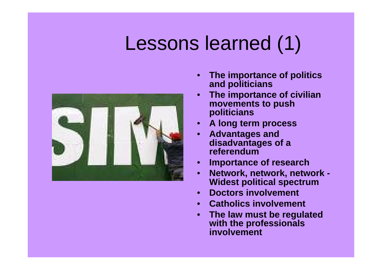# Lessons learned (1)



- **The importance of politics and politicians**
- **The importance of civilian movements to push politicians**
- **A long term process**
- **Advantages and disadvantages of a referendum**
- **Importance of research**
- **Network, network, network Widest political spectrum**
- **Doctors involvement**
- **Catholics involvement**
- **The law must be regulated with the professionals involvement**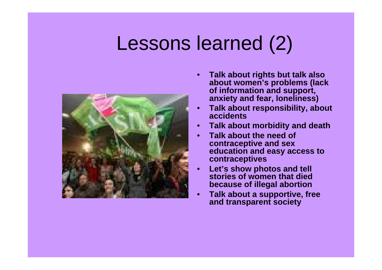## Lessons learned (2)



- **Talk about rights but talk also about women's problems (lack of information and support, anxiety and fear, loneliness)**
- **Talk about responsibility, about accidents**
- **Talk about morbidity and death**
- **Talk about the need of contraceptive and sex education and easy access to contraceptives**
- **Let's show photos and tell stories of women that died because of illegal abortion**
- **Talk about a supportive, free and transparent society**